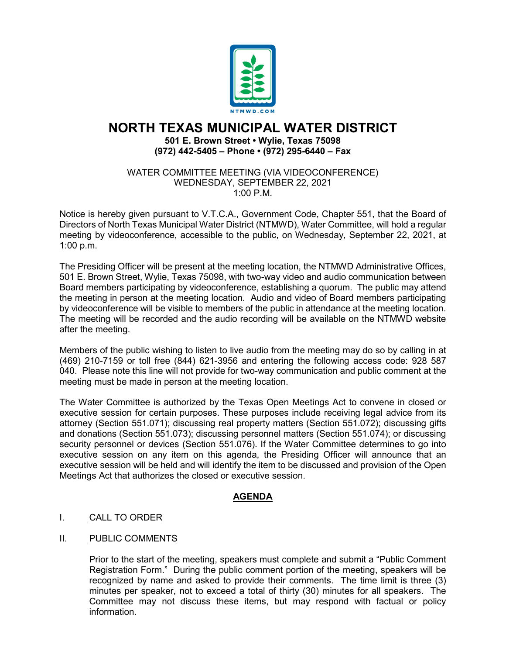

# **NORTH TEXAS MUNICIPAL WATER DISTRICT**

#### **501 E. Brown Street • Wylie, Texas 75098 (972) 442-5405 – Phone • (972) 295-6440 – Fax**

#### WATER COMMITTEE MEETING (VIA VIDEOCONFERENCE) WEDNESDAY, SEPTEMBER 22, 2021 1:00 P.M.

Notice is hereby given pursuant to V.T.C.A., Government Code, Chapter 551, that the Board of Directors of North Texas Municipal Water District (NTMWD), Water Committee, will hold a regular meeting by videoconference, accessible to the public, on Wednesday, September 22, 2021, at 1:00 p.m.

The Presiding Officer will be present at the meeting location, the NTMWD Administrative Offices, 501 E. Brown Street, Wylie, Texas 75098, with two-way video and audio communication between Board members participating by videoconference, establishing a quorum. The public may attend the meeting in person at the meeting location. Audio and video of Board members participating by videoconference will be visible to members of the public in attendance at the meeting location. The meeting will be recorded and the audio recording will be available on the NTMWD website after the meeting.

Members of the public wishing to listen to live audio from the meeting may do so by calling in at (469) 210-7159 or toll free (844) 621-3956 and entering the following access code: 928 587 040. Please note this line will not provide for two-way communication and public comment at the meeting must be made in person at the meeting location.

The Water Committee is authorized by the Texas Open Meetings Act to convene in closed or executive session for certain purposes. These purposes include receiving legal advice from its attorney (Section 551.071); discussing real property matters (Section 551.072); discussing gifts and donations (Section 551.073); discussing personnel matters (Section 551.074); or discussing security personnel or devices (Section 551.076). If the Water Committee determines to go into executive session on any item on this agenda, the Presiding Officer will announce that an executive session will be held and will identify the item to be discussed and provision of the Open Meetings Act that authorizes the closed or executive session.

## **AGENDA**

## I. CALL TO ORDER

## II. PUBLIC COMMENTS

Prior to the start of the meeting, speakers must complete and submit a "Public Comment Registration Form." During the public comment portion of the meeting, speakers will be recognized by name and asked to provide their comments. The time limit is three (3) minutes per speaker, not to exceed a total of thirty (30) minutes for all speakers. The Committee may not discuss these items, but may respond with factual or policy information.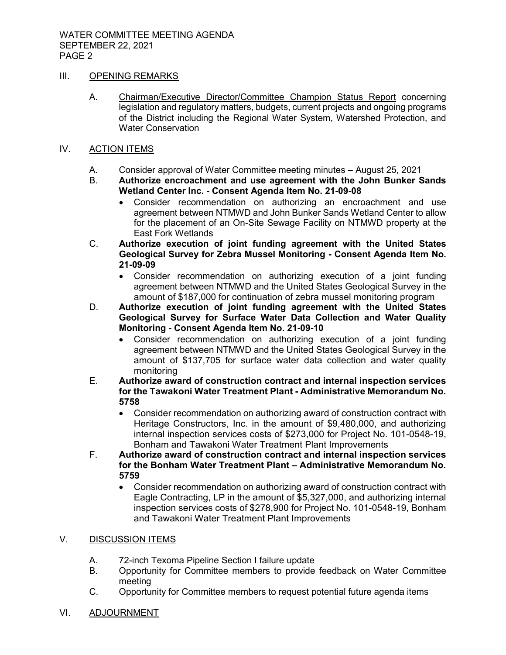#### III. OPENING REMARKS

- A. Chairman/Executive Director/Committee Champion Status Report concerning legislation and regulatory matters, budgets, current projects and ongoing programs of the District including the Regional Water System, Watershed Protection, and Water Conservation
- IV. ACTION ITEMS
	- A. Consider approval of Water Committee meeting minutes August 25, 2021
	- B. **Authorize encroachment and use agreement with the John Bunker Sands Wetland Center Inc. - Consent Agenda Item No. 21-09-08**
		- Consider recommendation on authorizing an encroachment and use agreement between NTMWD and John Bunker Sands Wetland Center to allow for the placement of an On-Site Sewage Facility on NTMWD property at the East Fork Wetlands
	- C. **Authorize execution of joint funding agreement with the United States Geological Survey for Zebra Mussel Monitoring - Consent Agenda Item No. 21-09-09**
		- Consider recommendation on authorizing execution of a joint funding agreement between NTMWD and the United States Geological Survey in the amount of \$187,000 for continuation of zebra mussel monitoring program
	- D. **Authorize execution of joint funding agreement with the United States Geological Survey for Surface Water Data Collection and Water Quality Monitoring - Consent Agenda Item No. 21-09-10**
		- Consider recommendation on authorizing execution of a joint funding agreement between NTMWD and the United States Geological Survey in the amount of \$137,705 for surface water data collection and water quality monitoring
	- E. **Authorize award of construction contract and internal inspection services for the Tawakoni Water Treatment Plant - Administrative Memorandum No. 5758**
		- Consider recommendation on authorizing award of construction contract with Heritage Constructors, Inc. in the amount of \$9,480,000, and authorizing internal inspection services costs of \$273,000 for Project No. 101-0548-19, Bonham and Tawakoni Water Treatment Plant Improvements
	- F. **Authorize award of construction contract and internal inspection services for the Bonham Water Treatment Plant – Administrative Memorandum No. 5759**
		- Consider recommendation on authorizing award of construction contract with Eagle Contracting, LP in the amount of \$5,327,000, and authorizing internal inspection services costs of \$278,900 for Project No. 101-0548-19, Bonham and Tawakoni Water Treatment Plant Improvements

### V. DISCUSSION ITEMS

- A. 72-inch Texoma Pipeline Section I failure update
- B. Opportunity for Committee members to provide feedback on Water Committee meeting
- C. Opportunity for Committee members to request potential future agenda items
- VI. ADJOURNMENT